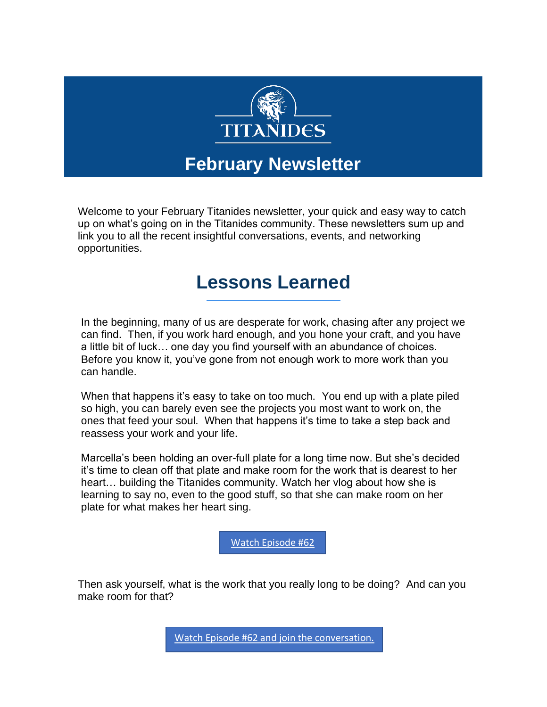

## **February Newsletter**

Welcome to your February Titanides newsletter, your quick and easy way to catch up on what's going on in the Titanides community. These newsletters sum up and link you to all the recent insightful conversations, events, and networking opportunities.

# **Lessons Learned**

In the beginning, many of us are desperate for work, chasing after any project we can find. Then, if you work hard enough, and you hone your craft, and you have a little bit of luck… one day you find yourself with an abundance of choices. Before you know it, you've gone from not enough work to more work than you can handle.

When that happens it's easy to take on too much. You end up with a plate piled so high, you can barely even see the projects you most want to work on, the ones that feed your soul. When that happens it's time to take a step back and reassess your work and your life.

Marcella's been holding an over-full plate for a long time now. But she's decided it's time to clean off that plate and make room for the work that is dearest to her heart… building the Titanides community. Watch her vlog about how she is learning to say no, even to the good stuff, so that she can make room on her plate for what makes her heart sing.

[Watch Episode #62](https://titanidesllc.acemlna.com/lt.php?notrack=1¬rack=1&s=bad97c655476f96a390a72c05a742011&i=155A205A6A1049)

Then ask yourself, what is the work that you really long to be doing? And can you make room for that?

[Watch Episode #62 and join the conversation.](https://titanidesllc.acemlna.com/lt.php?notrack=1¬rack=1&s=bad97c655476f96a390a72c05a742011&i=155A205A6A1049)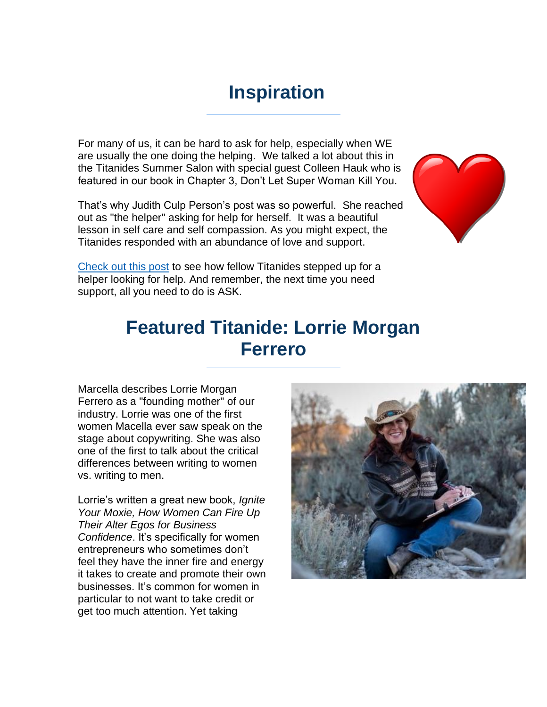## **Inspiration**

For many of us, it can be hard to ask for help, especially when WE are usually the one doing the helping. We talked a lot about this in the Titanides Summer Salon with special guest Colleen Hauk who is featured in our book in Chapter 3, Don't Let Super Woman Kill You.

That's why Judith Culp Person's post was so powerful. She reached out as "the helper" asking for help for herself. It was a beautiful lesson in self care and self compassion. As you might expect, the Titanides responded with an abundance of love and support.



[Check out this post](https://titanidesllc.acemlna.com/lt.php?notrack=1¬rack=1&s=bad97c655476f96a390a72c05a742011&i=155A205A6A1050) to see how fellow Titanides stepped up for a helper looking for help. And remember, the next time you need support, all you need to do is ASK.

## **Featured Titanide: Lorrie Morgan Ferrero**

Marcella describes Lorrie Morgan Ferrero as a "founding mother" of our industry. Lorrie was one of the first women Macella ever saw speak on the stage about copywriting. She was also one of the first to talk about the critical differences between writing to women vs. writing to men.

Lorrie's written a great new book, *Ignite Your Moxie, How Women Can Fire Up Their Alter Egos for Business Confidence*. It's specifically for women entrepreneurs who sometimes don't feel they have the inner fire and energy it takes to create and promote their own businesses. It's common for women in particular to not want to take credit or get too much attention. Yet taking

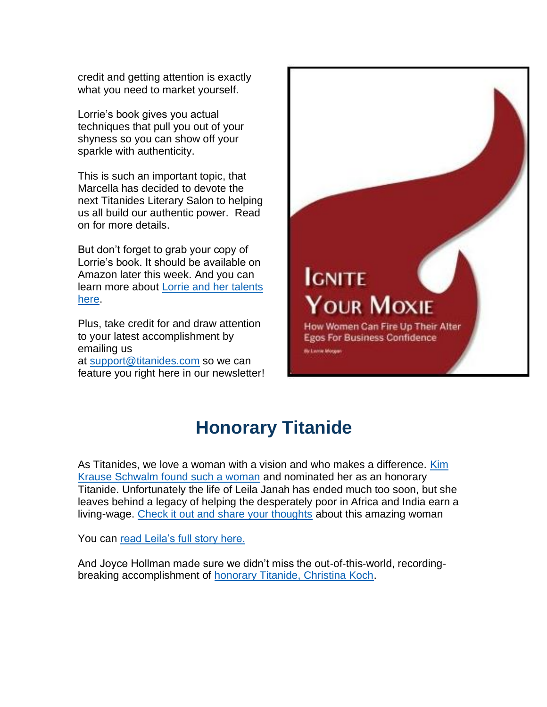credit and getting attention is exactly what you need to market yourself.

Lorrie's book gives you actual techniques that pull you out of your shyness so you can show off your sparkle with authenticity.

This is such an important topic, that Marcella has decided to devote the next Titanides Literary Salon to helping us all build our authentic power. Read on for more details.

But don't forget to grab your copy of Lorrie's book. It should be available on Amazon later this week. And you can learn more about [Lorrie and her talents](https://titanidesllc.acemlna.com/lt.php?notrack=1¬rack=1&s=bad97c655476f96a390a72c05a742011&i=155A205A6A1051)  [here.](https://titanidesllc.acemlna.com/lt.php?notrack=1¬rack=1&s=bad97c655476f96a390a72c05a742011&i=155A205A6A1051)

Plus, take credit for and draw attention to your latest accomplishment by emailing us at [support@titanides.com](mailto:support@titanides.com) so we can feature you right here in our newsletter!



# **Honorary Titanide**

As Titanides, we love a woman with a vision and who makes a difference. [Kim](https://titanidesllc.acemlna.com/lt.php?notrack=1¬rack=1&s=bad97c655476f96a390a72c05a742011&i=155A205A6A1052)  [Krause Schwalm found such a woman](https://titanidesllc.acemlna.com/lt.php?notrack=1¬rack=1&s=bad97c655476f96a390a72c05a742011&i=155A205A6A1052) and nominated her as an honorary Titanide. Unfortunately the life of Leila Janah has ended much too soon, but she leaves behind a legacy of helping the desperately poor in Africa and India earn a living-wage. [Check it out and share your thoughts](https://titanidesllc.acemlna.com/lt.php?notrack=1¬rack=1&s=bad97c655476f96a390a72c05a742011&i=155A205A6A1052) about this amazing woman

You can [read Leila's full story here.](https://titanidesllc.acemlna.com/lt.php?notrack=1¬rack=1&s=bad97c655476f96a390a72c05a742011&i=155A205A6A1053)

And Joyce Hollman made sure we didn't miss the out-of-this-world, recordingbreaking accomplishment of [honorary Titanide, Christina Koch.](https://titanidesllc.acemlna.com/lt.php?notrack=1¬rack=1&s=bad97c655476f96a390a72c05a742011&i=155A205A6A1054)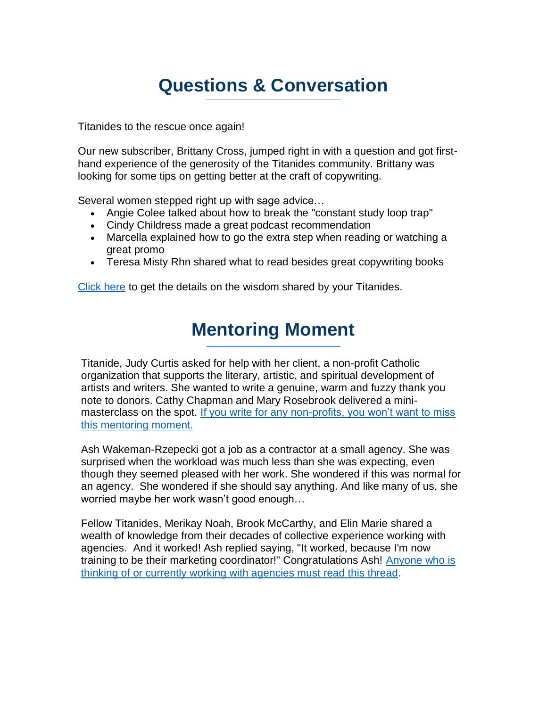# **Questions & Conversation**

Titanides to the rescue once again!

Our new subscriber, Brittany Cross, jumped right in with a question and got firsthand experience of the generosity of the Titanides community. Brittany was looking for some tips on getting better at the craft of copywriting.

Several women stepped right up with sage advice…

- Angie Colee talked about how to break the "constant study loop trap"
- Cindy Childress made a great podcast recommendation
- Marcella explained how to go the extra step when reading or watching a great promo
- Teresa Misty Rhn shared what to read besides great copywriting books

[Click here](https://titanidesllc.acemlna.com/lt.php?notrack=1¬rack=1&s=bad97c655476f96a390a72c05a742011&i=155A205A6A1055) to get the details on the wisdom shared by your Titanides.

# **Mentoring Moment**

Titanide, Judy Curtis asked for help with her client, a non-profit Catholic organization that supports the literary, artistic, and spiritual development of artists and writers. She wanted to write a genuine, warm and fuzzy thank you note to donors. Cathy Chapman and Mary Rosebrook delivered a minimasterclass on the spot. [If you write for any non-profits, you won't want to miss](https://titanidesllc.acemlna.com/lt.php?notrack=1¬rack=1&s=bad97c655476f96a390a72c05a742011&i=155A205A6A1056)  [this mentoring moment.](https://titanidesllc.acemlna.com/lt.php?notrack=1¬rack=1&s=bad97c655476f96a390a72c05a742011&i=155A205A6A1056)

Ash Wakeman-Rzepecki got a job as a contractor at a small agency. She was surprised when the workload was much less than she was expecting, even though they seemed pleased with her work. She wondered if this was normal for an agency. She wondered if she should say anything. And like many of us, she worried maybe her work wasn't good enough…

Fellow Titanides, Merikay Noah, Brook McCarthy, and Elin Marie shared a wealth of knowledge from their decades of collective experience working with agencies. And it worked! Ash replied saying, "It worked, because I'm now training to be their marketing coordinator!" Congratulations Ash! [Anyone who is](https://titanidesllc.acemlna.com/lt.php?notrack=1¬rack=1&s=bad97c655476f96a390a72c05a742011&i=155A205A6A1057)  [thinking of or currently working with agencies must read this thread.](https://titanidesllc.acemlna.com/lt.php?notrack=1¬rack=1&s=bad97c655476f96a390a72c05a742011&i=155A205A6A1057)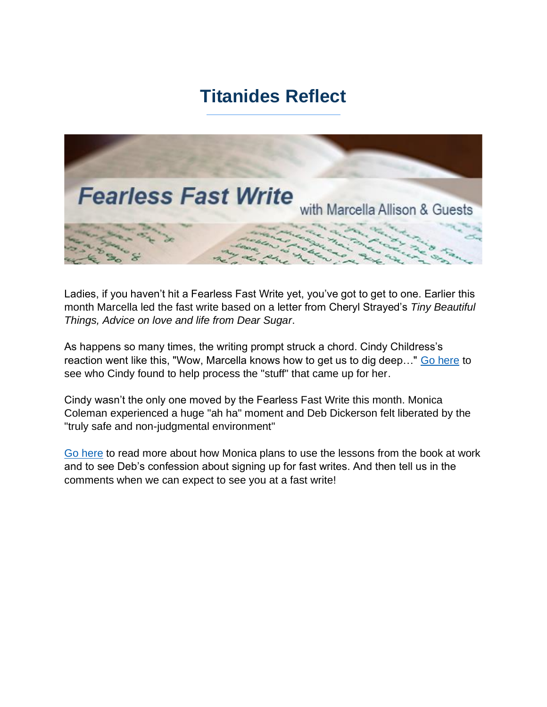## **Titanides Reflect**



Ladies, if you haven't hit a Fearless Fast Write yet, you've got to get to one. Earlier this month Marcella led the fast write based on a letter from Cheryl Strayed's *Tiny Beautiful Things, Advice on love and life from Dear Sugar*.

As happens so many times, the writing prompt struck a chord. Cindy Childress's reaction went like this, "Wow, Marcella knows how to get us to dig deep…" [Go here](https://titanidesllc.acemlna.com/lt.php?notrack=1¬rack=1&s=bad97c655476f96a390a72c05a742011&i=155A205A6A1058) to see who Cindy found to help process the "stuff" that came up for her.

Cindy wasn't the only one moved by the Fearless Fast Write this month. Monica Coleman experienced a huge "ah ha" moment and Deb Dickerson felt liberated by the "truly safe and non-judgmental environment"

[Go here](https://titanidesllc.acemlna.com/lt.php?notrack=1¬rack=1&s=bad97c655476f96a390a72c05a742011&i=155A205A6A1059) to read more about how Monica plans to use the lessons from the book at work and to see Deb's confession about signing up for fast writes. And then tell us in the comments when we can expect to see you at a fast write!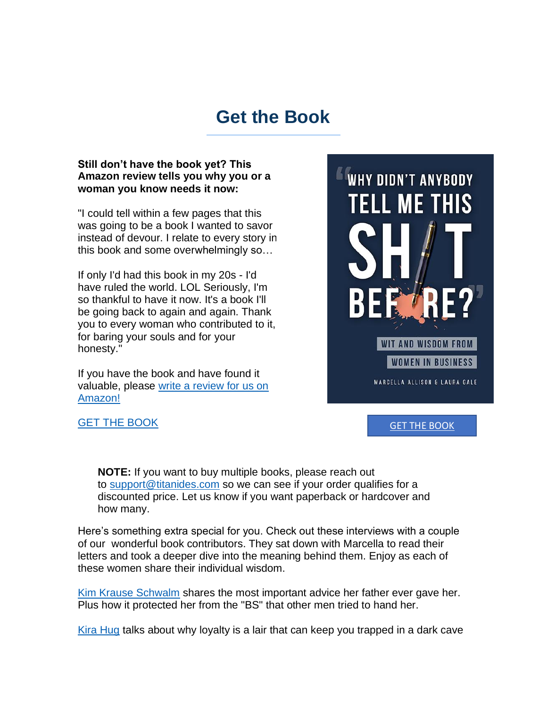### **Get the Book**

### **Still don't have the book yet? This Amazon review tells you why you or a woman you know needs it now:**

"I could tell within a few pages that this was going to be a book I wanted to savor instead of devour. I relate to every story in this book and some overwhelmingly so…

If only I'd had this book in my 20s - I'd have ruled the world. LOL Seriously, I'm so thankful to have it now. It's a book I'll be going back to again and again. Thank you to every woman who contributed to it, for baring your souls and for your honesty."

If you have the book and have found it valuable, please [write a review for us on](https://titanidesllc.acemlna.com/lt.php?notrack=1¬rack=1&s=bad97c655476f96a390a72c05a742011&i=155A205A6A1060)  [Amazon!](https://titanidesllc.acemlna.com/lt.php?notrack=1¬rack=1&s=bad97c655476f96a390a72c05a742011&i=155A205A6A1060)



[GET THE BOOK](https://titanidesllc.acemlna.com/lt.php?notrack=1¬rack=1&s=bad97c655476f96a390a72c05a742011&i=155A205A6A1062)

[GET THE BOOK](https://titanidesllc.acemlna.com/lt.php?notrack=1¬rack=1&s=bad97c655476f96a390a72c05a742011&i=155A205A6A1061)

**NOTE:** If you want to buy multiple books, please reach out to [support@titanides.com](mailto:support@titanides.com) so we can see if your order qualifies for a discounted price. Let us know if you want paperback or hardcover and how many.

Here's something extra special for you. Check out these interviews with a couple of our wonderful book contributors. They sat down with Marcella to read their letters and took a deeper dive into the meaning behind them. Enjoy as each of these women share their individual wisdom.

[Kim Krause Schwalm](https://titanidesllc.acemlna.com/lt.php?notrack=1¬rack=1&s=bad97c655476f96a390a72c05a742011&i=155A205A6A1063) shares the most important advice her father ever gave her. Plus how it protected her from the "BS" that other men tried to hand her.

[Kira Hug](https://titanidesllc.acemlna.com/lt.php?notrack=1¬rack=1&s=bad97c655476f96a390a72c05a742011&i=155A205A6A1064) talks about why loyalty is a lair that can keep you trapped in a dark cave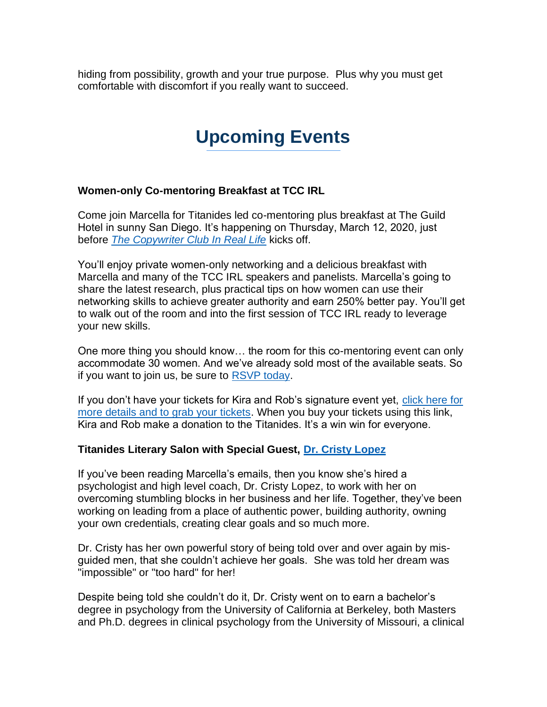hiding from possibility, growth and your true purpose. Plus why you must get comfortable with discomfort if you really want to succeed.

# **Upcoming Events**

### **Women-only Co-mentoring Breakfast at TCC IRL**

Come join Marcella for Titanides led co-mentoring plus breakfast at The Guild Hotel in sunny San Diego. It's happening on Thursday, March 12, 2020, just before *[The Copywriter Club In Real Life](https://titanidesllc.acemlna.com/lt.php?notrack=1¬rack=1&s=bad97c655476f96a390a72c05a742011&i=155A205A6A1065)* kicks off.

You'll enjoy private women-only networking and a delicious breakfast with Marcella and many of the TCC IRL speakers and panelists. Marcella's going to share the latest research, plus practical tips on how women can use their networking skills to achieve greater authority and earn 250% better pay. You'll get to walk out of the room and into the first session of TCC IRL ready to leverage your new skills.

One more thing you should know… the room for this co-mentoring event can only accommodate 30 women. And we've already sold most of the available seats. So if you want to join us, be sure to [RSVP today.](https://titanidesllc.acemlna.com/lt.php?notrack=1¬rack=1&s=bad97c655476f96a390a72c05a742011&i=155A205A6A1066)

If you don't have your tickets for Kira and Rob's signature event yet, [click here for](https://titanidesllc.acemlna.com/lt.php?notrack=1¬rack=1&s=bad97c655476f96a390a72c05a742011&i=155A205A6A1065)  [more details and to grab your tickets.](https://titanidesllc.acemlna.com/lt.php?notrack=1¬rack=1&s=bad97c655476f96a390a72c05a742011&i=155A205A6A1065) When you buy your tickets using this link, Kira and Rob make a donation to the Titanides. It's a win win for everyone.

### **Titanides Literary Salon with Special Guest, [Dr. Cristy Lopez](https://titanidesllc.acemlna.com/lt.php?notrack=1¬rack=1&s=bad97c655476f96a390a72c05a742011&i=155A205A6A1067)**

If you've been reading Marcella's emails, then you know she's hired a psychologist and high level coach, Dr. Cristy Lopez, to work with her on overcoming stumbling blocks in her business and her life. Together, they've been working on leading from a place of authentic power, building authority, owning your own credentials, creating clear goals and so much more.

Dr. Cristy has her own powerful story of being told over and over again by misguided men, that she couldn't achieve her goals. She was told her dream was "impossible" or "too hard" for her!

Despite being told she couldn't do it, Dr. Cristy went on to earn a bachelor's degree in psychology from the University of California at Berkeley, both Masters and Ph.D. degrees in clinical psychology from the University of Missouri, a clinical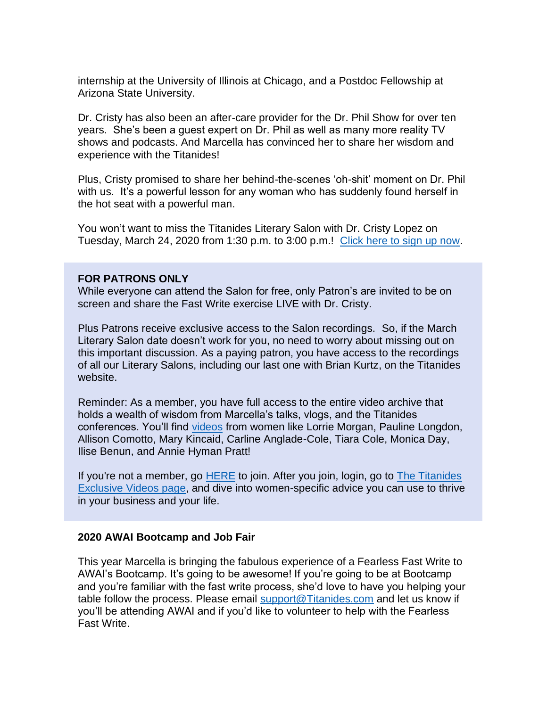internship at the University of Illinois at Chicago, and a Postdoc Fellowship at Arizona State University.

Dr. Cristy has also been an after-care provider for the Dr. Phil Show for over ten years. She's been a guest expert on Dr. Phil as well as many more reality TV shows and podcasts. And Marcella has convinced her to share her wisdom and experience with the Titanides!

Plus, Cristy promised to share her behind-the-scenes 'oh-shit' moment on Dr. Phil with us. It's a powerful lesson for any woman who has suddenly found herself in the hot seat with a powerful man.

You won't want to miss the Titanides Literary Salon with Dr. Cristy Lopez on Tuesday, March 24, 2020 from 1:30 p.m. to 3:00 p.m.! [Click here to sign up now.](https://titanidesllc.acemlna.com/lt.php?notrack=1¬rack=1&s=bad97c655476f96a390a72c05a742011&i=155A205A6A1068)

### **FOR PATRONS ONLY**

While everyone can attend the Salon for free, only Patron's are invited to be on screen and share the Fast Write exercise LIVE with Dr. Cristy.

Plus Patrons receive exclusive access to the Salon recordings. So, if the March Literary Salon date doesn't work for you, no need to worry about missing out on this important discussion. As a paying patron, you have access to the recordings of all our Literary Salons, including our last one with Brian Kurtz, on the Titanides website.

Reminder: As a member, you have full access to the entire video archive that holds a wealth of wisdom from Marcella's talks, vlogs, and the Titanides conferences. You'll find [videos](https://titanidesllc.acemlna.com/lt.php?notrack=1¬rack=1&s=bad97c655476f96a390a72c05a742011&i=155A205A6A1069) from women like Lorrie Morgan, Pauline Longdon, Allison Comotto, Mary Kincaid, Carline Anglade-Cole, Tiara Cole, Monica Day, Ilise Benun, and Annie Hyman Pratt!

If you're not a member, go [HERE](https://titanidesllc.acemlna.com/lt.php?notrack=1¬rack=1&s=bad97c655476f96a390a72c05a742011&i=155A205A6A1070) to join. After you join, login, go to The Titanides [Exclusive Videos page,](https://titanidesllc.acemlna.com/lt.php?notrack=1¬rack=1&s=bad97c655476f96a390a72c05a742011&i=155A205A6A1071) and dive into women-specific advice you can use to thrive in your business and your life.

#### **2020 AWAI Bootcamp and Job Fair**

This year Marcella is bringing the fabulous experience of a Fearless Fast Write to AWAI's Bootcamp. It's going to be awesome! If you're going to be at Bootcamp and you're familiar with the fast write process, she'd love to have you helping your table follow the process. Please email [support@Titanides.com](mailto:support@Titanides.com) and let us know if you'll be attending AWAI and if you'd like to volunteer to help with the Fearless Fast Write.